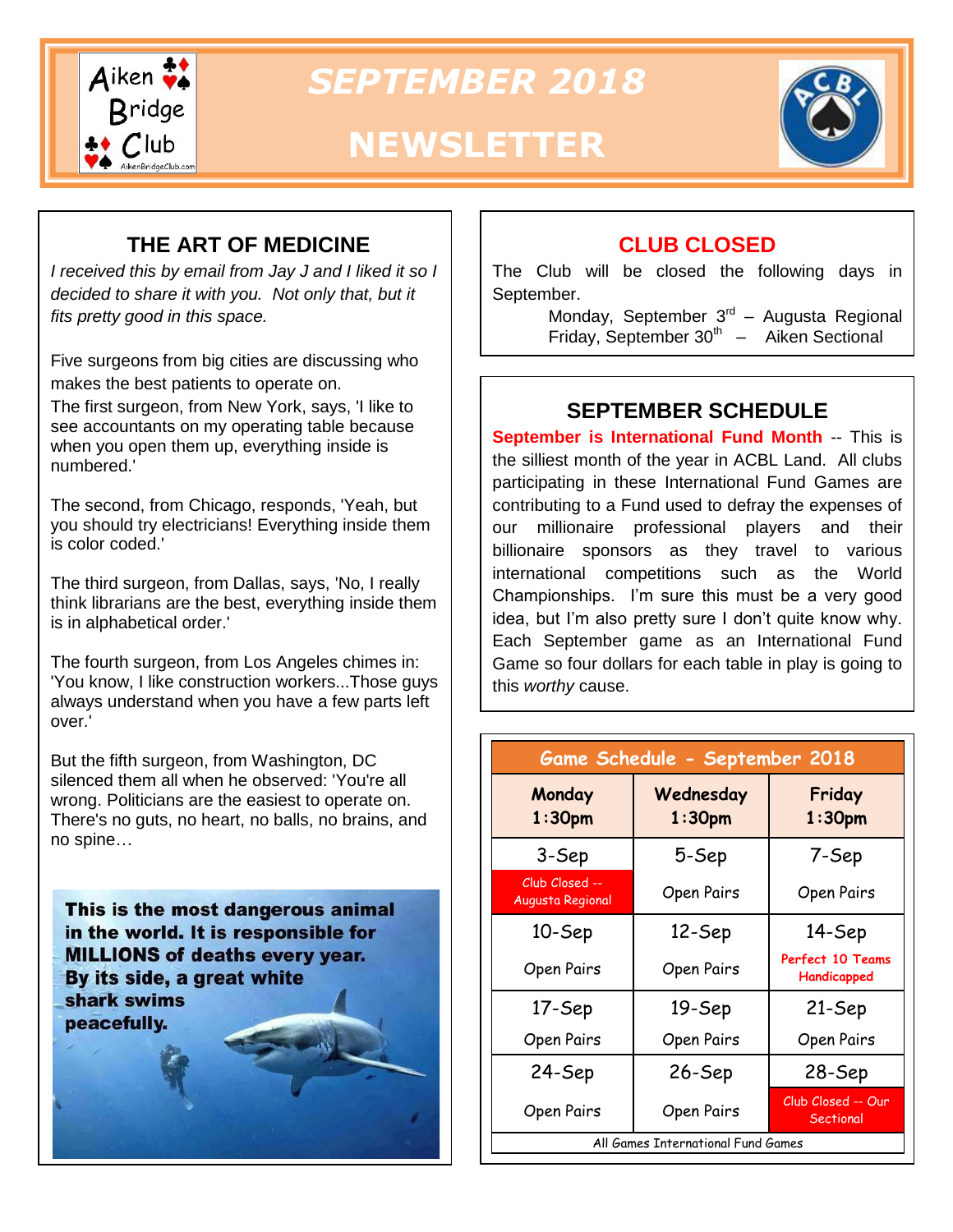

*SEPTEMBER 2018*

# **NEWSLETTER**



#### **THE ART OF MEDICINE**

*I received this by email from Jay J and I liked it so I decided to share it with you. Not only that, but it fits pretty good in this space.*

Five surgeons from big cities are discussing who makes the best patients to operate on.

The first surgeon, from New York, says, 'I like to see accountants on my operating table because when you open them up, everything inside is numbered.'

The second, from Chicago, responds, 'Yeah, but you should try electricians! Everything inside them is color coded.'

The third surgeon, from Dallas, says, 'No, I really think librarians are the best, everything inside them is in alphabetical order.'

The fourth surgeon, from Los Angeles chimes in: 'You know, I like construction workers...Those guys always understand when you have a few parts left over.'

But the fifth surgeon, from Washington, DC silenced them all when he observed: 'You're all wrong. Politicians are the easiest to operate on. There's no guts, no heart, no balls, no brains, and no spine…

This is the most dangerous animal in the world. It is responsible for **MILLIONS of deaths every year.** By its side, a great white shark swims peacefully.

#### **CLUB CLOSED**

The Club will be closed the following days in September.

> Monday, September 3<sup>rd</sup> – Augusta Regional Friday, September  $30<sup>th</sup>$  – Aiken Sectional

#### **SEPTEMBER SCHEDULE**

**September is International Fund Month -- This is** the silliest month of the year in ACBL Land. All clubs participating in these International Fund Games are contributing to a Fund used to defray the expenses of our millionaire professional players and their billionaire sponsors as they travel to various international competitions such as the World Championships. I'm sure this must be a very good idea, but I'm also pretty sure I don't quite know why. Each September game as an International Fund Game so four dollars for each table in play is going to this *worthy* cause.

| Game Schedule - September 2018     |                                 |                                        |  |  |  |
|------------------------------------|---------------------------------|----------------------------------------|--|--|--|
| Monday<br>1:30 <sub>pm</sub>       | Wednesday<br>1:30 <sub>pm</sub> | Friday<br>1:30 <sub>pm</sub>           |  |  |  |
| 3-Sep                              | 5-Sep                           | 7-Sep                                  |  |  |  |
| Club Closed --<br>Augusta Regional | Open Pairs                      | Open Pairs                             |  |  |  |
| 10-Sep                             | 12-Sep                          | 14-Sep                                 |  |  |  |
| Open Pairs                         | Open Pairs                      | <b>Perfect 10 Teams</b><br>Handicapped |  |  |  |
| 17-Sep                             | 19-Sep                          | 21-Sep                                 |  |  |  |
| Open Pairs                         | Open Pairs                      | Open Pairs                             |  |  |  |
| 24-Sep                             | 26-Sep                          | 28-Sep                                 |  |  |  |
| Open Pairs                         | Open Pairs                      | Club Closed -- Our<br>Sectional        |  |  |  |
| All Games International Fund Games |                                 |                                        |  |  |  |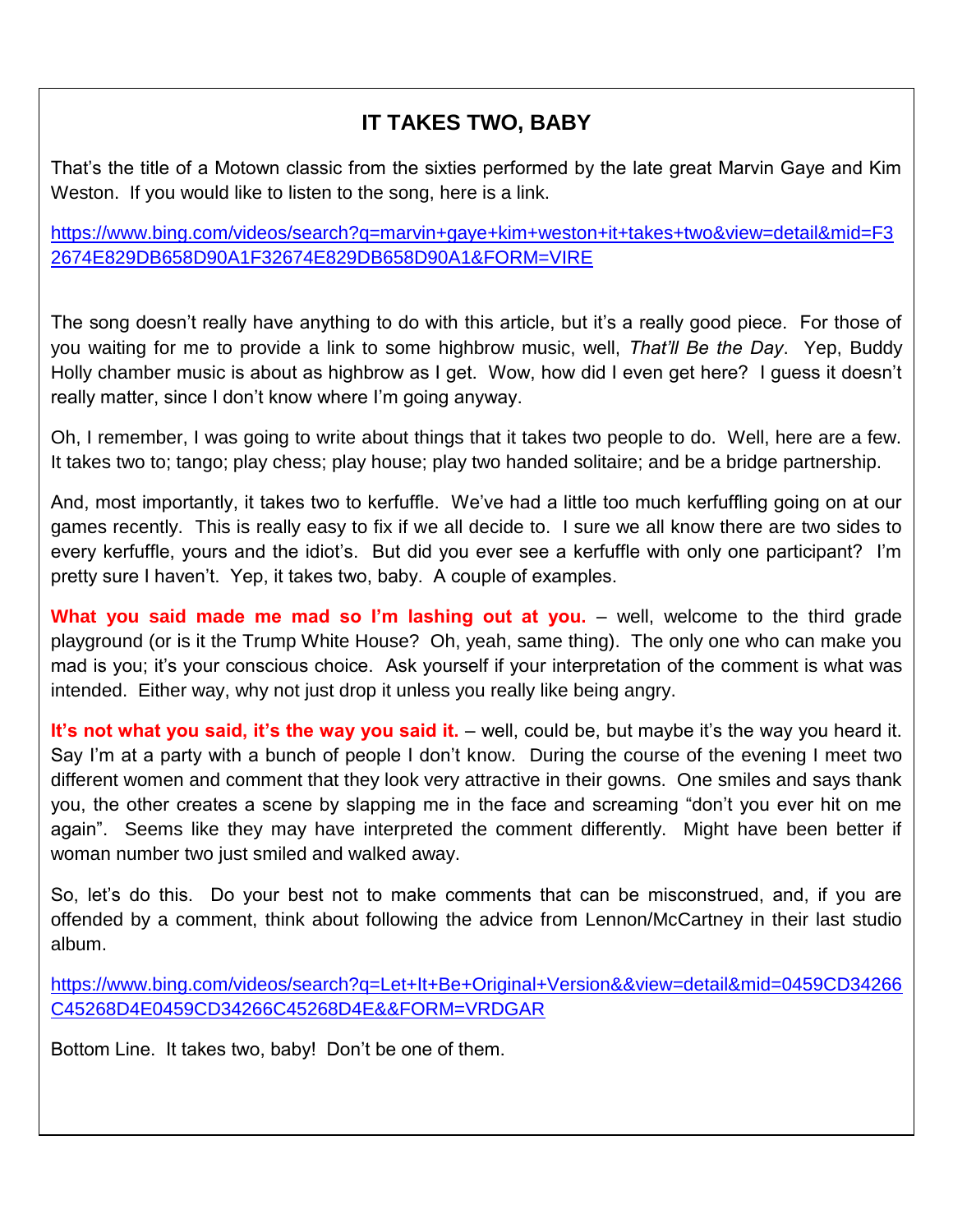## **IT TAKES TWO, BABY**

That's the title of a Motown classic from the sixties performed by the late great Marvin Gaye and Kim Weston. If you would like to listen to the song, here is a link.

[https://www.bing.com/videos/search?q=marvin+gaye+kim+weston+it+takes+two&view=detail&mid=F3](https://www.bing.com/videos/search?q=marvin+gaye+kim+weston+it+takes+two&view=detail&mid=F32674E829DB658D90A1F32674E829DB658D90A1&FORM=VIRE) [2674E829DB658D90A1F32674E829DB658D90A1&FORM=VIRE](https://www.bing.com/videos/search?q=marvin+gaye+kim+weston+it+takes+two&view=detail&mid=F32674E829DB658D90A1F32674E829DB658D90A1&FORM=VIRE)

The song doesn't really have anything to do with this article, but it's a really good piece. For those of you waiting for me to provide a link to some highbrow music, well, *That'll Be the Day*. Yep, Buddy Holly chamber music is about as highbrow as I get. Wow, how did I even get here? I guess it doesn't really matter, since I don't know where I'm going anyway.

Oh, I remember, I was going to write about things that it takes two people to do. Well, here are a few. It takes two to; tango; play chess; play house; play two handed solitaire; and be a bridge partnership.

And, most importantly, it takes two to kerfuffle. We've had a little too much kerfuffling going on at our games recently. This is really easy to fix if we all decide to. I sure we all know there are two sides to every kerfuffle, yours and the idiot's. But did you ever see a kerfuffle with only one participant? I'm pretty sure I haven't. Yep, it takes two, baby. A couple of examples.

**What you said made me mad so I'm lashing out at you.** – well, welcome to the third grade playground (or is it the Trump White House? Oh, yeah, same thing). The only one who can make you mad is you; it's your conscious choice. Ask yourself if your interpretation of the comment is what was intended. Either way, why not just drop it unless you really like being angry.

**It's not what you said, it's the way you said it.** – well, could be, but maybe it's the way you heard it. Say I'm at a party with a bunch of people I don't know. During the course of the evening I meet two different women and comment that they look very attractive in their gowns. One smiles and says thank you, the other creates a scene by slapping me in the face and screaming "don't you ever hit on me again". Seems like they may have interpreted the comment differently. Might have been better if woman number two just smiled and walked away.

So, let's do this. Do your best not to make comments that can be misconstrued, and, if you are offended by a comment, think about following the advice from Lennon/McCartney in their last studio album.

[https://www.bing.com/videos/search?q=Let+It+Be+Original+Version&&view=detail&mid=0459CD34266](https://www.bing.com/videos/search?q=Let+It+Be+Original+Version&&view=detail&mid=0459CD34266C45268D4E0459CD34266C45268D4E&&FORM=VRDGAR) [C45268D4E0459CD34266C45268D4E&&FORM=VRDGAR](https://www.bing.com/videos/search?q=Let+It+Be+Original+Version&&view=detail&mid=0459CD34266C45268D4E0459CD34266C45268D4E&&FORM=VRDGAR)

Bottom Line. It takes two, baby! Don't be one of them.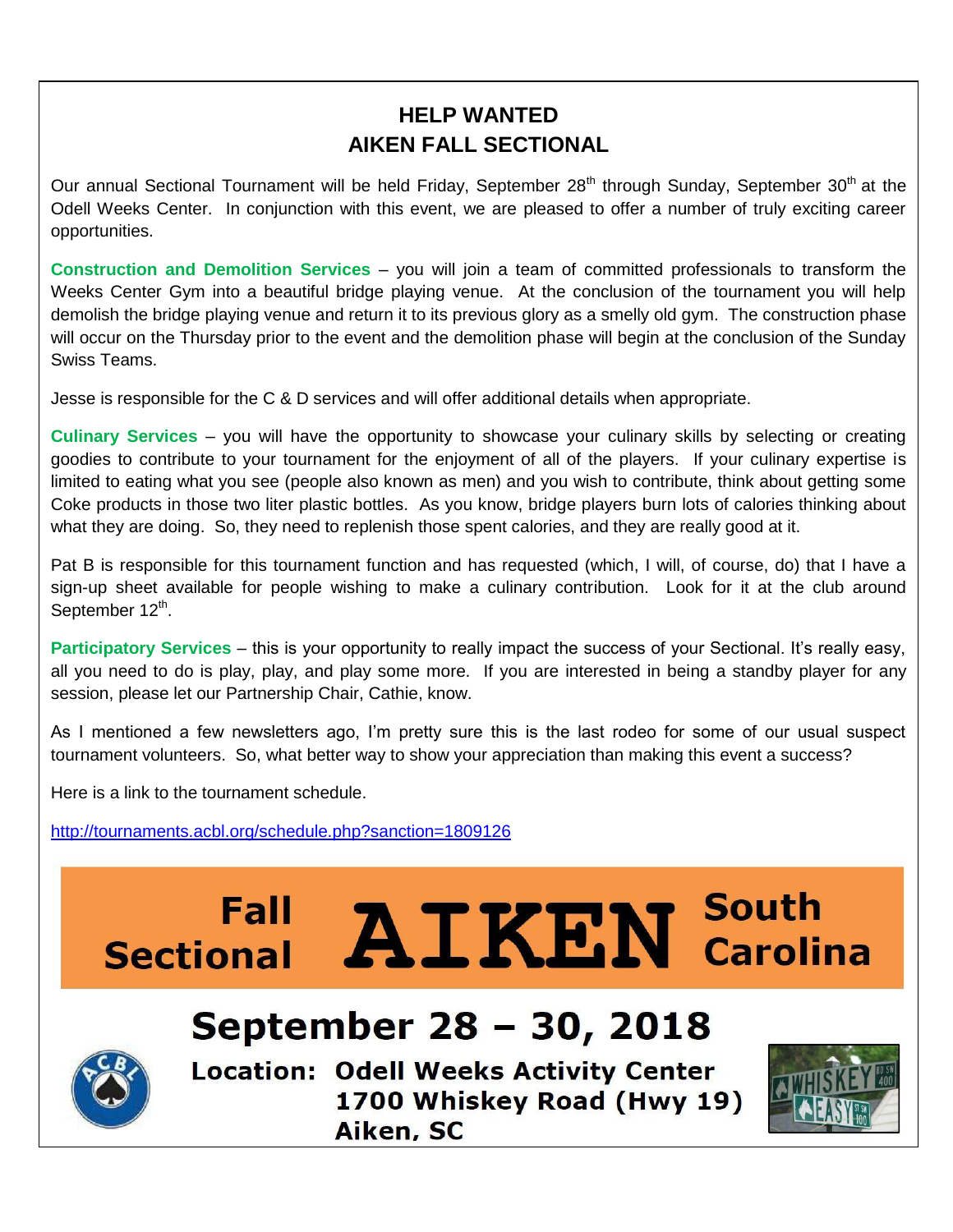## **HELP WANTED AIKEN FALL SECTIONAL**

Our annual Sectional Tournament will be held Friday, September 28<sup>th</sup> through Sunday, September 30<sup>th</sup> at the Odell Weeks Center. In conjunction with this event, we are pleased to offer a number of truly exciting career opportunities.

ٔ **Construction and Demolition Services** – you will join a team of committed professionals to transform the Weeks Center Gym into a beautiful bridge playing venue. At the conclusion of the tournament you will help demolish the bridge playing venue and return it to its previous glory as a smelly old gym. The construction phase will occur on the Thursday prior to the event and the demolition phase will begin at the conclusion of the Sunday Swiss Teams.

Jesse is responsible for the C & D services and will offer additional details when appropriate.

**Culinary Services** – you will have the opportunity to showcase your culinary skills by selecting or creating goodies to contribute to your tournament for the enjoyment of all of the players. If your culinary expertise is limited to eating what you see (people also known as men) and you wish to contribute, think about getting some Coke products in those two liter plastic bottles. As you know, bridge players burn lots of calories thinking about what they are doing. So, they need to replenish those spent calories, and they are really good at it.

Pat B is responsible for this tournament function and has requested (which, I will, of course, do) that I have a sign-up sheet available for people wishing to make a culinary contribution. Look for it at the club around September 12<sup>th</sup>.

**Participatory Services** – this is your opportunity to really impact the success of your Sectional. It's really easy, all you need to do is play, play, and play some more. If you are interested in being a standby player for any session, please let our Partnership Chair, Cathie, know.

As I mentioned a few newsletters ago, I'm pretty sure this is the last rodeo for some of our usual suspect tournament volunteers. So, what better way to show your appreciation than making this event a success?

Here is a link to the tournament schedule.

<http://tournaments.acbl.org/schedule.php?sanction=1809126>

# Fall AIKEN South<br>Sectional AIKEN Carolina

# **September 28 – 30, 2018**



**Location: Odell Weeks Activity Center** 1700 Whiskey Road (Hwy 19) Aiken, SC